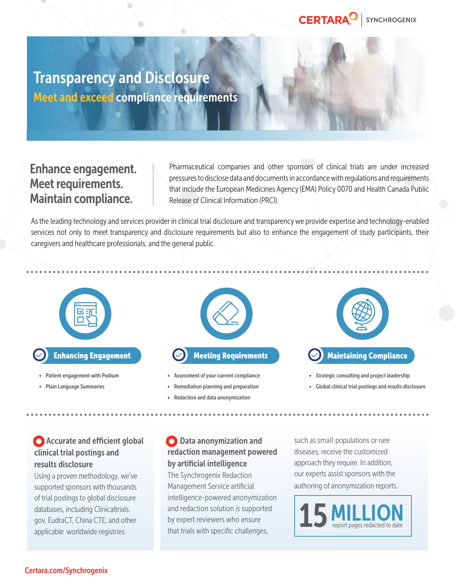## Transparency and Disclosure Meet and exceed compliance requirements

### Enhance engagement. Meet requirements. Maintain compliance.

Pharmaceutical companies and other sponsors of clinical trials are under increased pressures to disclose data and documents in accordance with regulations and requirements that include the European Medicines Agency (EMA) Policy 0070 and Health Canada Public Release of Clinical Information (PRCI).

As the leading technology and services provider in clinical trial disclosure and transparency we provide expertise and technology-enabled services not only to meet transparency and disclosure requirements but also to enhance the engagement of study participants, their caregivers and healthcare professionals, and the general public.



#### **Accurate and efficient global** clinical trial postings and results disclosure

Using a proven methodology, we've supported sponsors with thousands of trial postings to global disclosure databases, including Clinicaltrials. gov, EudraCT, China CTE, and other applicable worldwide registries.

#### **O** Data anonymization and redaction management powered by artificial intelligence

The Synchrogenix Redaction Management Service artificial intelligence-powered anonymization and redaction solution is supported by expert reviewers who ensure that trials with specific challenges,

such as small populations or rare diseases, receive the customized approach they require. In addition, our experts assist sponsors with the authoring of anonymization reports.